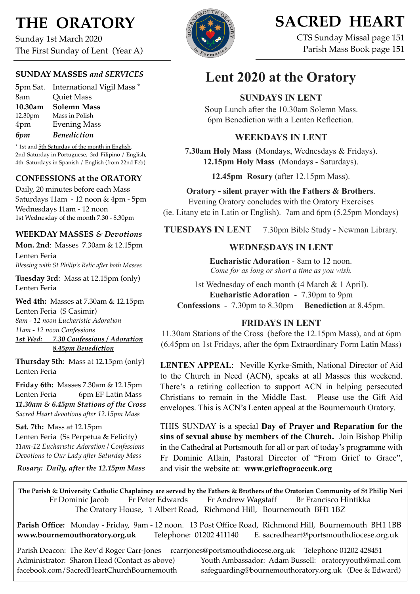# **THE ORATORY**

Sunday 1st March 2020 The First Sunday of Lent (Year A)

#### **SUNDAY MASSES** *and SERVICES*

5pm Sat. International Vigil Mass \* 8am Quiet Mass **10.30am Solemn Mass** 12.30pm Mass in Polish 4pm Evening Mass *6pm Benediction*

\* 1st and 5th Saturday of the month in English, 2nd Saturday in Portuguese, 3rd Filipino / English, 4th Saturdays in Spanish / English (from 22nd Feb).

#### **CONFESSIONS at the ORATORY**

Daily, 20 minutes before each Mass Saturdays 11am - 12 noon & 4pm - 5pm Wednesdays 11am - 12 noon 1st Wednesday of the month 7.30 - 8.30pm

#### **WEEKDAY MASSES** *& Devotions*

**Mon. 2nd**: Masses 7.30am & 12.15pm Lenten Feria *Blessing with St Philip's Relic after both Masses*

**Tuesday 3rd**: Mass at 12.15pm (only) Lenten Feria

**Wed 4th:** Masses at 7.30am & 12.15pm Lenten Feria (S Casimir) *8am - 12 noon Eucharistic Adoration 11am - 12 noon Confessions 1st Wed: 7.30 Confessions / Adoration 8.45pm Benediction*

**Thursday 5th**: Mass at 12.15pm (only) Lenten Feria

**Friday 6th:** Masses 7.30am & 12.15pm Lenten Feria 6pm EF Latin Mass *11.30am & 6.45pm Stations of the Cross Sacred Heart devotions after 12.15pm Mass*

**Sat. 7th:** Mass at 12.15pm Lenten Feria (Ss Perpetua & Felicity) *11am-12 Eucharistic Adoration / Confessions Devotions to Our Lady after Saturday Mass*

*Rosary: Daily, after the 12.15pm Mass*



# **SACRED HEART**

CTS Sunday Missal page 151 Parish Mass Book page 151

## **Lent 2020 at the Oratory**

## **SUNDAYS IN LENT**

Soup Lunch after the 10.30am Solemn Mass. 6pm Benediction with a Lenten Reflection.

#### **WEEKDAYS IN LENT**

**7.30am Holy Mass** (Mondays, Wednesdays & Fridays). **12.15pm Holy Mass** (Mondays - Saturdays).

**12.45pm Rosary** (after 12.15pm Mass).

**Oratory - silent prayer with the Fathers & Brothers**.

Evening Oratory concludes with the Oratory Exercises (ie. Litany etc in Latin or English). 7am and 6pm (5.25pm Mondays)

**TUESDAYS IN LENT** 7.30pm Bible Study - Newman Library.

## **WEDNESDAYS IN LENT**

**Eucharistic Adoration** - 8am to 12 noon. *Come for as long or short a time as you wish.*

1st Wednesday of each month (4 March & 1 April). **Eucharistic Adoration** - 7.30pm to 9pm **Confessions** - 7.30pm to 8.30pm **Benediction** at 8.45pm.

## **FRIDAYS IN LENT**

11.30am Stations of the Cross (before the 12.15pm Mass), and at 6pm (6.45pm on 1st Fridays, after the 6pm Extraordinary Form Latin Mass)

**LENTEN APPEAL**: Neville Kyrke-Smith, National Director of Aid to the Church in Need (ACN), speaks at all Masses this weekend. There's a retiring collection to support ACN in helping persecuted Christians to remain in the Middle East. Please use the Gift Aid envelopes. This is ACN's Lenten appeal at the Bournemouth Oratory.

THIS SUNDAY is a special **Day of Prayer and Reparation for the sins of sexual abuse by members of the Church.** Join Bishop Philip in the Cathedral at Portsmouth for all or part of today's programme with Fr Dominic Allain, Pastoral Director of "From Grief to Grace", and visit the website at: **www.grieftograceuk.org**

**The Parish & University Catholic Chaplaincy are served by the Fathers & Brothers of the Oratorian Community of St Philip Neri**  Fr Dominic Jacob Fr Peter Edwards Fr Andrew Wagstaff Br Francisco Hintikka The Oratory House, 1 Albert Road, Richmond Hill, Bournemouth BH1 1BZ

**Parish Office:** Monday - Friday, 9am - 12 noon. 13 Post Office Road, Richmond Hill, Bournemouth BH1 1BB **[www.bournemouthoratory.org.uk](http://www.bournemoithoratory.org.uk)** Telephone: 01202 411140 E. [sacredheart@portsmouthdiocese.org.uk](mailto:sacredheart@portsmouthdiocese.org.uk)

Parish Deacon: The Rev'd Roger Carr-Jones [rcarrjones@portsmouthdiocese.org.uk](mailto:rcarrjones@portsmouthdiocese.org.uk) Telephone 01202 428451 Administrator: Sharon Head (Contact as above) Youth Ambassador: Adam Bussell: [oratoryyouth@mail.com](http://oratoryyouth.mail.com) [facebook.com/SacredHeartChurchBournemouth](http://facebook.com/SaccredHeartChurchBournemouth) [safeguarding@bournemouthoratory.org.uk](mailto:safeguarding@bournemouthoratory.org.uk) (Dee & Edward)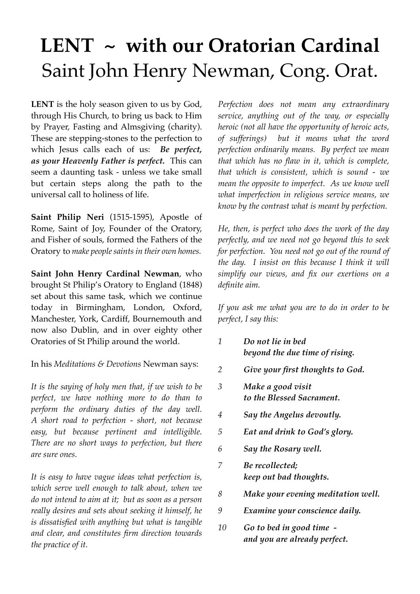# **LENT ~ with our Oratorian Cardinal** Saint John Henry Newman, Cong. Orat.

**LENT** is the holy season given to us by God, through His Church, to bring us back to Him by Prayer, Fasting and Almsgiving (charity). These are stepping-stones to the perfection to which Jesus calls each of us: *Be perfect, as your Heavenly Father is perfect.* This can seem a daunting task - unless we take small but certain steps along the path to the universal call to holiness of life.

**Saint Philip Neri** (1515-1595), Apostle of Rome, Saint of Joy, Founder of the Oratory, and Fisher of souls, formed the Fathers of the Oratory to *make peoplesaints in their own homes.*

**Saint John Henry Cardinal Newman**, who brought St Philip's Oratory to England (1848) set about this same task, which we continue today in Birmingham, London, Oxford, Manchester, York, Cardiff, Bournemouth and now also Dublin, and in over eighty other Oratories of St Philip around the world.

In his *Meditations & Devotions* Newman says:

*It is the saying of holy men that, if we wish to be perfect, we have nothing more to do than to perform the ordinary duties of the day well. A short road to perfection - short, not because easy, but because pertinent and intelligible. There are no short ways to perfection, but there are sure ones.*

*It is easy to have vague ideas what perfection is, which serve well enough to talk about, when we do not intend to aim at it; but as soon as a person really desires and sets about seeking it himself, he is dissatisfied with anything but what is tangible and clear, and constitutes firm direction towards the practice of it.*

*Perfection does not mean any extraordinary service, anything out of the way, or especially heroic (not all have the opportunity of heroic acts, of sufferings) but it means what the word perfection ordinarily means. By perfect we mean that which has no flaw in it, which is complete, that which is consistent, which is sound - we mean the opposite to imperfect. As we know well what imperfection in religious service means, we know by the contrast what is meant by perfection.*

*He, then, is perfect who does the work of the day perfectly, and we need not go beyond this to seek for perfection. You need not go out of the round of the day. I insist on this because I think it will simplify our views, and fix our exertions on a definite aim.*

*If you ask me what you are to do in order to be perfect, I say this:*

- *1 Do not lie in bed beyond the due time of rising.*
- *2 Give your first thoughts to God.*
- *3 Make a good visit to the Blessed Sacrament.*
- *4 Say the Angelus devoutly.*
- *5 Eat and drink to God's glory.*
- *6 Say the Rosary well.*
- *7 Be recollected; keep out bad thoughts.*
- *8 Make your evening meditation well.*
- *9 Examine your conscience daily.*
- *10 Go to bed in good time and you are already perfect.*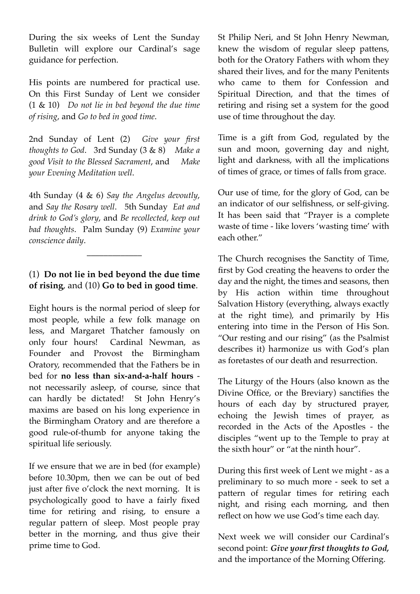During the six weeks of Lent the Sunday Bulletin will explore our Cardinal's sage guidance for perfection.

His points are numbered for practical use. On this First Sunday of Lent we consider (1 & 10) *Do not lie in bed beyond the due time of rising*, and *Go to bed in good time*.

2nd Sunday of Lent (2) *Give your first thoughts to God*. 3rd Sunday (3 & 8) *Make a good Visit to the Blessed Sacrament*, and *Make your Evening Meditation well*.

4th Sunday (4 & 6) *Say the Angelus devoutly*, and *Say the Rosary well*. 5th Sunday *Eat and drink to God's glory*, and *Be recollected, keep out bad thoughts*. Palm Sunday (9) *Examine your conscience daily*.

## (1) **Do not lie in bed beyond the due time of rising**, and (10) **Go to bed in good time**.

\_\_\_\_\_\_\_\_\_\_\_\_\_

Eight hours is the normal period of sleep for most people, while a few folk manage on less, and Margaret Thatcher famously on only four hours! Cardinal Newman, as Founder and Provost the Birmingham Oratory, recommended that the Fathers be in bed for **no less than six-and-a-half hours** not necessarily asleep, of course, since that can hardly be dictated! St John Henry's maxims are based on his long experience in the Birmingham Oratory and are therefore a good rule-of-thumb for anyone taking the spiritual life seriously.

If we ensure that we are in bed (for example) before 10.30pm, then we can be out of bed just after five o'clock the next morning. It is psychologically good to have a fairly fixed time for retiring and rising, to ensure a regular pattern of sleep. Most people pray better in the morning, and thus give their prime time to God.

St Philip Neri, and St John Henry Newman, knew the wisdom of regular sleep pattens, both for the Oratory Fathers with whom they shared their lives, and for the many Penitents who came to them for Confession and Spiritual Direction, and that the times of retiring and rising set a system for the good use of time throughout the day.

Time is a gift from God, regulated by the sun and moon, governing day and night, light and darkness, with all the implications of times of grace, or times of falls from grace.

Our use of time, for the glory of God, can be an indicator of our selfishness, or self-giving. It has been said that "Prayer is a complete waste of time - like lovers 'wasting time' with each other."

The Church recognises the Sanctity of Time, first by God creating the heavens to order the day and the night, the times and seasons, then by His action within time throughout Salvation History (everything, always exactly at the right time), and primarily by His entering into time in the Person of His Son. "Our resting and our rising" (as the Psalmist describes it) harmonize us with God's plan as foretastes of our death and resurrection.

The Liturgy of the Hours (also known as the Divine Office, or the Breviary) sanctifies the hours of each day by structured prayer, echoing the Jewish times of prayer, as recorded in the Acts of the Apostles - the disciples "went up to the Temple to pray at the sixth hour" or "at the ninth hour".

During this first week of Lent we might - as a preliminary to so much more - seek to set a pattern of regular times for retiring each night, and rising each morning, and then reflect on how we use God's time each day.

Next week we will consider our Cardinal's second point: *Give your first thoughts to God,* and the importance of the Morning Offering.